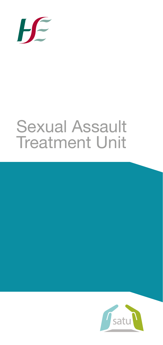

# Sexual Assault Treatment Unit

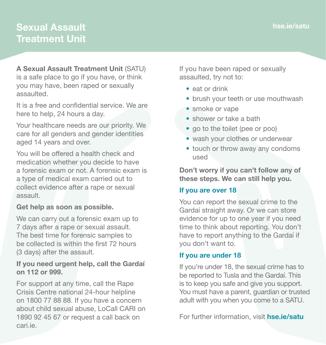# **Sexual Assault Treatment Unit**

**A Sexual Assault Treatment Unit** (SATU) is a safe place to go if you have, or think you may have, been raped or sexually assaulted.

It is a free and confidential service. We are here to help, 24 hours a day.

Your healthcare needs are our priority. We care for all genders and gender identities aged 14 years and over.

You will be offered a health check and medication whether you decide to have a forensic exam or not. A forensic exam is a type of medical exam carried out to collect evidence after a rape or sexual assault.

### **Get help as soon as possible.**

We can carry out a forensic exam up to 7 days after a rape or sexual assault. The best time for forensic samples to be collected is within the first 72 hours (3 days) after the assault.

## **If you need urgent help, call the Gardaí on 112 or 999.**

For support at any time, call the Rape Crisis Centre national 24-hour helpline on 1800 77 88 88. If you have a concern about child sexual abuse, LoCall CARI on 1890 92 45 67 or request a call back on [cari.ie](http://www.cari.ie).

If you have been raped or sexually assaulted, try not to:

- **•** eat or drink
- **•** brush your teeth or use mouthwash
- **•** smoke or vape
- **•** shower or take a bath
- go to the toilet (pee or poo)
- **•** wash your clothes or underwear
- **•** touch or throw away any condoms used

**Don't worry if you can't follow any of these steps. We can still help you.**

# **If you are over 18**

You can report the sexual crime to the Gardaí straight away. Or we can store evidence for up to one year if you need time to think about reporting. You don't have to report anything to the Gardaí if you don't want to.

# **If you are under 18**

If you're under 18, the sexual crime has to be reported to Tusla and the Gardaí. This is to keep you safe and give you support. You must have a parent, quardian or trusted adult with you when you come to a SATU.

For further information, visit **[hse.ie/satu](http://www.hse.ie/satu)**